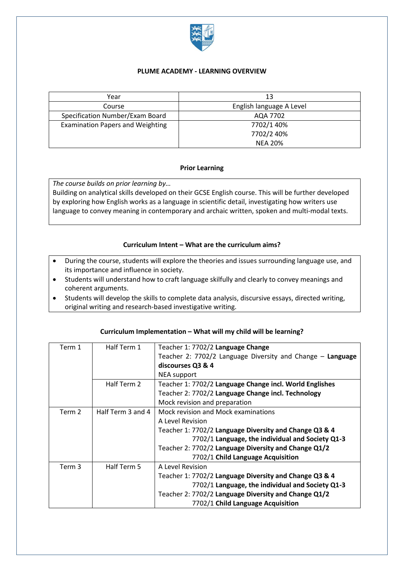

### **PLUME ACADEMY - LEARNING OVERVIEW**

| Year                                    | 13                       |
|-----------------------------------------|--------------------------|
| Course                                  | English language A Level |
| Specification Number/Exam Board         | AQA 7702                 |
| <b>Examination Papers and Weighting</b> | 7702/1 40%               |
|                                         | 7702/2 40%               |
|                                         | <b>NEA 20%</b>           |

## **Prior Learning**

*The course builds on prior learning by…*

Building on analytical skills developed on their GCSE English course. This will be further developed by exploring how English works as a language in scientific detail, investigating how writers use language to convey meaning in contemporary and archaic written, spoken and multi-modal texts.

## **Curriculum Intent – What are the curriculum aims?**

- During the course, students will explore the theories and issues surrounding language use, and its importance and influence in society.
- Students will understand how to craft language skilfully and clearly to convey meanings and coherent arguments.
- Students will develop the skills to complete data analysis, discursive essays, directed writing, original writing and research-based investigative writing.

| Term 1            | Half Term 1       | Teacher 1: 7702/2 Language Change                          |
|-------------------|-------------------|------------------------------------------------------------|
|                   |                   | Teacher 2: 7702/2 Language Diversity and Change - Language |
|                   |                   | discourses Q3 & 4                                          |
|                   |                   | <b>NEA support</b>                                         |
|                   | Half Term 2       | Teacher 1: 7702/2 Language Change incl. World Englishes    |
|                   |                   | Teacher 2: 7702/2 Language Change incl. Technology         |
|                   |                   | Mock revision and preparation                              |
| Term 2            | Half Term 3 and 4 | Mock revision and Mock examinations                        |
|                   |                   | A Level Revision                                           |
|                   |                   | Teacher 1: 7702/2 Language Diversity and Change Q3 & 4     |
|                   |                   | 7702/1 Language, the individual and Society Q1-3           |
|                   |                   | Teacher 2: 7702/2 Language Diversity and Change Q1/2       |
|                   |                   | 7702/1 Child Language Acquisition                          |
| Term <sub>3</sub> | Half Term 5       | A Level Revision                                           |
|                   |                   | Teacher 1: 7702/2 Language Diversity and Change Q3 & 4     |
|                   |                   | 7702/1 Language, the individual and Society Q1-3           |
|                   |                   | Teacher 2: 7702/2 Language Diversity and Change Q1/2       |
|                   |                   | 7702/1 Child Language Acquisition                          |

### **Curriculum Implementation – What will my child will be learning?**